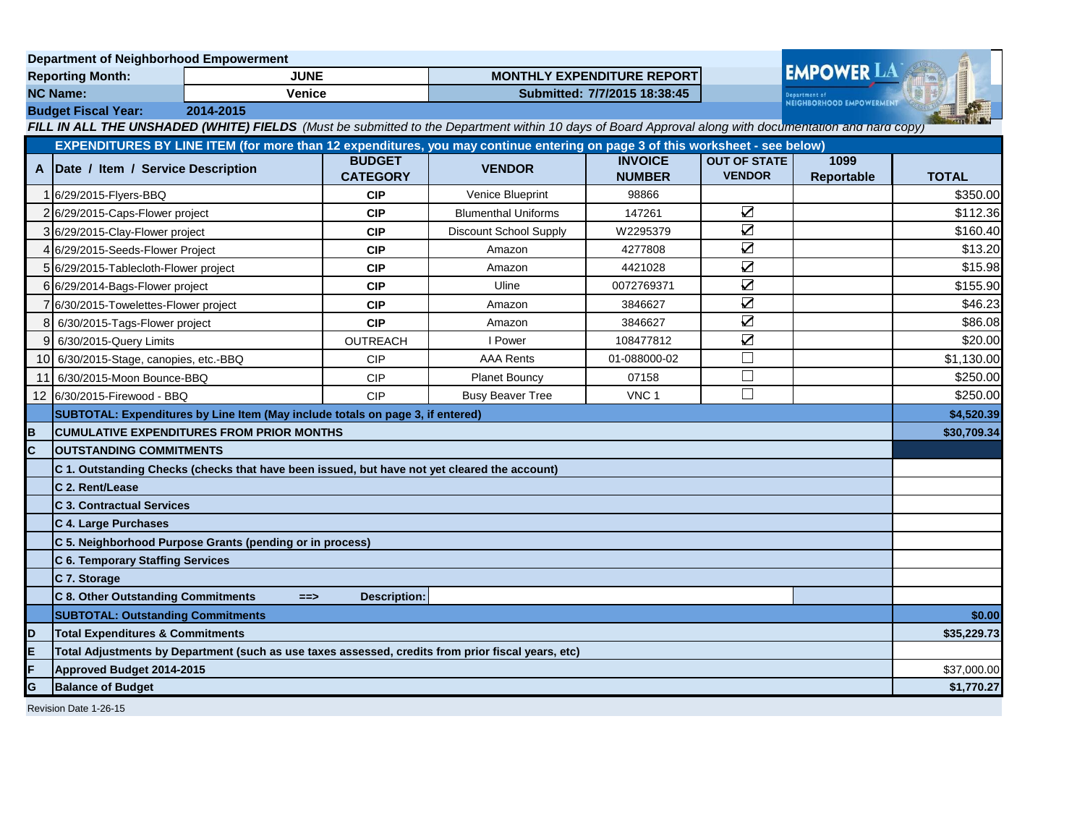| <b>Department of Neighborhood Empowerment</b> |                                                                                                                              |                                                                                |                                   |                                                                                                                                                       |                                 |                                      |                    |              |
|-----------------------------------------------|------------------------------------------------------------------------------------------------------------------------------|--------------------------------------------------------------------------------|-----------------------------------|-------------------------------------------------------------------------------------------------------------------------------------------------------|---------------------------------|--------------------------------------|--------------------|--------------|
| <b>JUNE</b><br><b>Reporting Month:</b>        |                                                                                                                              |                                                                                | <b>MONTHLY EXPENDITURE REPORT</b> |                                                                                                                                                       |                                 | <b>EMPOWER LA</b>                    |                    |              |
| <b>NC Name:</b><br><b>Venice</b>              |                                                                                                                              |                                                                                | Submitted: 7/7/2015 18:38:45      |                                                                                                                                                       |                                 | <b>NEIGHBORHOOD EMPOWERMENT</b>      |                    |              |
|                                               | <b>Budget Fiscal Year:</b><br>2014-2015                                                                                      |                                                                                |                                   |                                                                                                                                                       |                                 |                                      |                    |              |
|                                               |                                                                                                                              |                                                                                |                                   | FILL IN ALL THE UNSHADED (WHITE) FIELDS (Must be submitted to the Department within 10 days of Board Approval along with documentation and hard copy) |                                 |                                      |                    |              |
|                                               | EXPENDITURES BY LINE ITEM (for more than 12 expenditures, you may continue entering on page 3 of this worksheet - see below) |                                                                                |                                   |                                                                                                                                                       |                                 |                                      |                    |              |
| A                                             | Date / Item / Service Description                                                                                            |                                                                                | <b>BUDGET</b><br><b>CATEGORY</b>  | <b>VENDOR</b>                                                                                                                                         | <b>INVOICE</b><br><b>NUMBER</b> | <b>OUT OF STATE</b><br><b>VENDOR</b> | 1099<br>Reportable | <b>TOTAL</b> |
|                                               | 1 6/29/2015-Flyers-BBQ                                                                                                       |                                                                                | <b>CIP</b>                        | <b>Venice Blueprint</b>                                                                                                                               | 98866                           |                                      |                    | \$350.00     |
|                                               | 2 6/29/2015-Caps-Flower project                                                                                              |                                                                                | <b>CIP</b>                        | <b>Blumenthal Uniforms</b>                                                                                                                            | 147261                          | $\sum$                               |                    | \$112.36     |
|                                               | 3 6/29/2015-Clay-Flower project                                                                                              |                                                                                | <b>CIP</b>                        | Discount School Supply                                                                                                                                | W2295379                        | $\sum_{i=1}^{n}$                     |                    | \$160.40     |
|                                               | 4 6/29/2015-Seeds-Flower Project                                                                                             |                                                                                | <b>CIP</b>                        | Amazon                                                                                                                                                | 4277808                         | $\overline{\mathbf{S}}$              |                    | \$13.20      |
|                                               | 5 6/29/2015-Tablecloth-Flower project                                                                                        |                                                                                | <b>CIP</b>                        | Amazon                                                                                                                                                | 4421028                         | $\sum$                               |                    | \$15.98      |
|                                               | 6 6/29/2014-Bags-Flower project                                                                                              |                                                                                | <b>CIP</b>                        | Uline                                                                                                                                                 | 0072769371                      | $\sum_{i=1}^{n}$                     |                    | \$155.90     |
|                                               | 7 6/30/2015-Towelettes-Flower project                                                                                        |                                                                                | <b>CIP</b>                        | Amazon                                                                                                                                                | 3846627                         | $\overline{\mathbf{Z}}$              |                    | \$46.23      |
| 8                                             | 6/30/2015-Tags-Flower project                                                                                                |                                                                                | <b>CIP</b>                        | Amazon                                                                                                                                                | 3846627                         | $\overline{\mathbf{Z}}$              |                    | \$86.08      |
| 9                                             | 6/30/2015-Query Limits                                                                                                       |                                                                                | OUTREACH                          | I Power                                                                                                                                               | 108477812                       | $\overline{\mathbf{Z}}$              |                    | \$20.00      |
| 10I                                           | 6/30/2015-Stage, canopies, etc.-BBQ                                                                                          |                                                                                | <b>CIP</b>                        | <b>AAA Rents</b>                                                                                                                                      | 01-088000-02                    | $\Box$                               |                    | \$1,130.00   |
| 11                                            | 6/30/2015-Moon Bounce-BBQ                                                                                                    |                                                                                | <b>CIP</b>                        | <b>Planet Bouncy</b>                                                                                                                                  | 07158                           | $\Box$                               |                    | \$250.00     |
|                                               | 12 6/30/2015-Firewood - BBQ                                                                                                  |                                                                                | <b>CIP</b>                        | <b>Busy Beaver Tree</b>                                                                                                                               | VNC <sub>1</sub>                | П                                    |                    | \$250.00     |
|                                               |                                                                                                                              | SUBTOTAL: Expenditures by Line Item (May include totals on page 3, if entered) |                                   |                                                                                                                                                       |                                 |                                      |                    | \$4,520.39   |
| B                                             | <b>CUMULATIVE EXPENDITURES FROM PRIOR MONTHS</b>                                                                             |                                                                                |                                   |                                                                                                                                                       |                                 |                                      | \$30,709.34        |              |
| c                                             | <b>OUTSTANDING COMMITMENTS</b>                                                                                               |                                                                                |                                   |                                                                                                                                                       |                                 |                                      |                    |              |
|                                               | C 1. Outstanding Checks (checks that have been issued, but have not yet cleared the account)                                 |                                                                                |                                   |                                                                                                                                                       |                                 |                                      |                    |              |
|                                               | C 2. Rent/Lease                                                                                                              |                                                                                |                                   |                                                                                                                                                       |                                 |                                      |                    |              |
|                                               | <b>C 3. Contractual Services</b>                                                                                             |                                                                                |                                   |                                                                                                                                                       |                                 |                                      |                    |              |
|                                               | C 4. Large Purchases                                                                                                         |                                                                                |                                   |                                                                                                                                                       |                                 |                                      |                    |              |
|                                               |                                                                                                                              | C 5. Neighborhood Purpose Grants (pending or in process)                       |                                   |                                                                                                                                                       |                                 |                                      |                    |              |
|                                               | C 6. Temporary Staffing Services                                                                                             |                                                                                |                                   |                                                                                                                                                       |                                 |                                      |                    |              |
|                                               | C 7. Storage                                                                                                                 |                                                                                |                                   |                                                                                                                                                       |                                 |                                      |                    |              |
|                                               | C 8. Other Outstanding Commitments                                                                                           | $==$                                                                           | Description:                      |                                                                                                                                                       |                                 |                                      |                    |              |
|                                               | <b>SUBTOTAL: Outstanding Commitments</b>                                                                                     |                                                                                |                                   |                                                                                                                                                       |                                 |                                      | \$0.00             |              |
| D                                             | <b>Total Expenditures &amp; Commitments</b>                                                                                  |                                                                                |                                   |                                                                                                                                                       |                                 | \$35,229.73                          |                    |              |
| E                                             | Total Adjustments by Department (such as use taxes assessed, credits from prior fiscal years, etc)                           |                                                                                |                                   |                                                                                                                                                       |                                 |                                      |                    |              |
| F                                             | Approved Budget 2014-2015                                                                                                    |                                                                                |                                   |                                                                                                                                                       |                                 |                                      | \$37,000.00        |              |
| G                                             | <b>Balance of Budget</b>                                                                                                     |                                                                                |                                   |                                                                                                                                                       |                                 |                                      | \$1,770.27         |              |
| $D = \frac{1}{2}$                             |                                                                                                                              |                                                                                |                                   |                                                                                                                                                       |                                 |                                      |                    |              |

Revision Date 1-26-15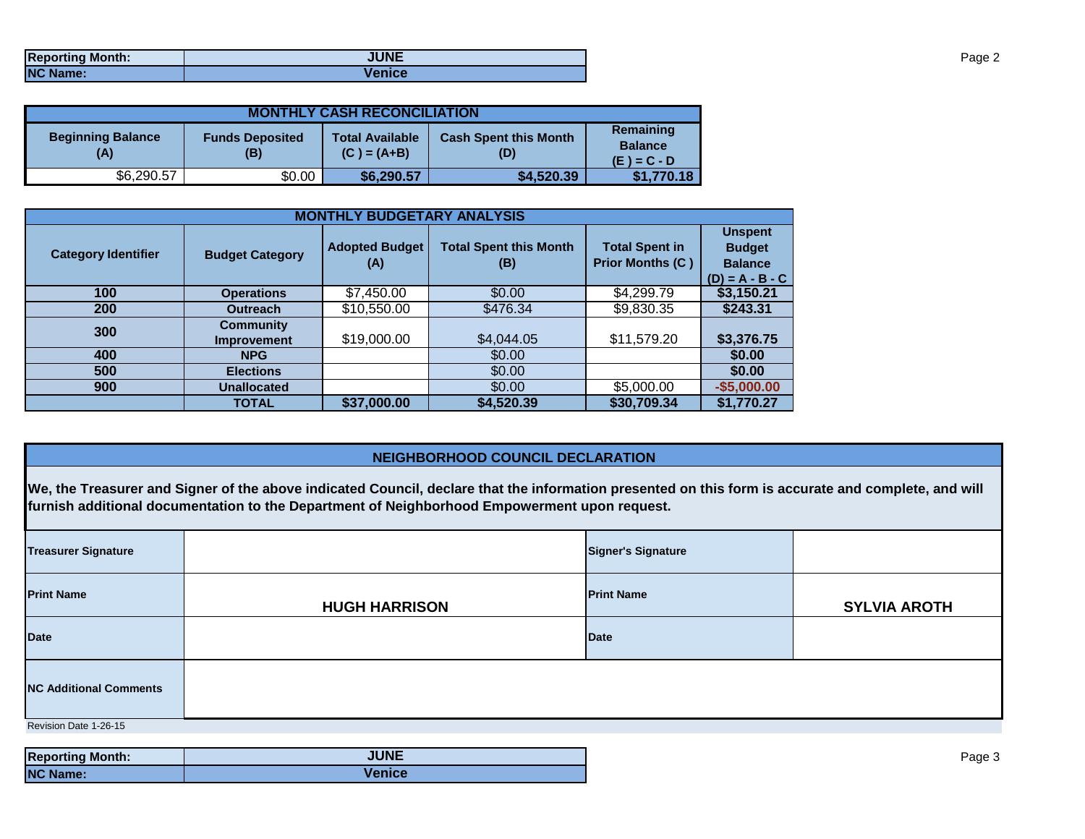| <b>Reporting Month:</b> | <b>JUNE</b>   |
|-------------------------|---------------|
| <b>NC Name:</b>         | <b>Venice</b> |

| <b>MONTHLY CASH RECONCILIATION</b>                               |        |                                         |                                              |            |  |  |  |
|------------------------------------------------------------------|--------|-----------------------------------------|----------------------------------------------|------------|--|--|--|
| <b>Beginning Balance</b><br><b>Funds Deposited</b><br>(A)<br>(B) |        | <b>Total Available</b><br>$(C) = (A+B)$ | Remaining<br><b>Balance</b><br>$(E) = C - D$ |            |  |  |  |
| \$6,290.57                                                       | \$0.00 | \$6,290.57                              | \$4,520.39                                   | \$1,770.18 |  |  |  |

| <b>MONTHLY BUDGETARY ANALYSIS</b> |                                 |                              |                                      |                                                  |                                                                        |  |  |
|-----------------------------------|---------------------------------|------------------------------|--------------------------------------|--------------------------------------------------|------------------------------------------------------------------------|--|--|
| <b>Category Identifier</b>        | <b>Budget Category</b>          | <b>Adopted Budget</b><br>(A) | <b>Total Spent this Month</b><br>(B) | <b>Total Spent in</b><br><b>Prior Months (C)</b> | <b>Unspent</b><br><b>Budget</b><br><b>Balance</b><br>$(D) = A - B - C$ |  |  |
| 100                               | <b>Operations</b>               | \$7,450.00                   | \$0.00                               | \$4,299.79                                       | \$3,150.21                                                             |  |  |
| <b>200</b>                        | <b>Outreach</b>                 | \$10,550.00                  | \$476.34                             | \$9,830.35                                       | \$243.31                                                               |  |  |
| 300                               | <b>Community</b><br>Improvement | \$19,000.00                  | \$4,044.05                           | \$11,579.20                                      | \$3,376.75                                                             |  |  |
| 400                               | <b>NPG</b>                      |                              | \$0.00                               |                                                  | \$0.00                                                                 |  |  |
| 500                               | <b>Elections</b>                |                              | \$0.00                               |                                                  | \$0.00                                                                 |  |  |
| 900                               | <b>Unallocated</b>              |                              | \$0.00                               | \$5,000.00                                       | $-$5,000.00$                                                           |  |  |
|                                   | <b>TOTAL</b>                    | \$37,000.00                  | \$4,520.39                           | \$30,709.34                                      | \$1,770.27                                                             |  |  |

## **NEIGHBORHOOD COUNCIL DECLARATION**

**We, the Treasurer and Signer of the above indicated Council, declare that the information presented on this form is accurate and complete, and will furnish additional documentation to the Department of Neighborhood Empowerment upon request.**

| <b>Treasurer Signature</b>    |                      | <b>Signer's Signature</b> |                     |  |  |  |
|-------------------------------|----------------------|---------------------------|---------------------|--|--|--|
| <b>Print Name</b>             | <b>HUGH HARRISON</b> | <b>Print Name</b>         | <b>SYLVIA AROTH</b> |  |  |  |
| <b>Date</b>                   |                      | <b>Date</b>               |                     |  |  |  |
| <b>NC Additional Comments</b> |                      |                           |                     |  |  |  |
| Revision Date 1-26-15         |                      |                           |                     |  |  |  |

| <b>Reporting Month:</b> | <b>JUNE</b>   |
|-------------------------|---------------|
| <b>NC Name:</b>         | <b>Venice</b> |